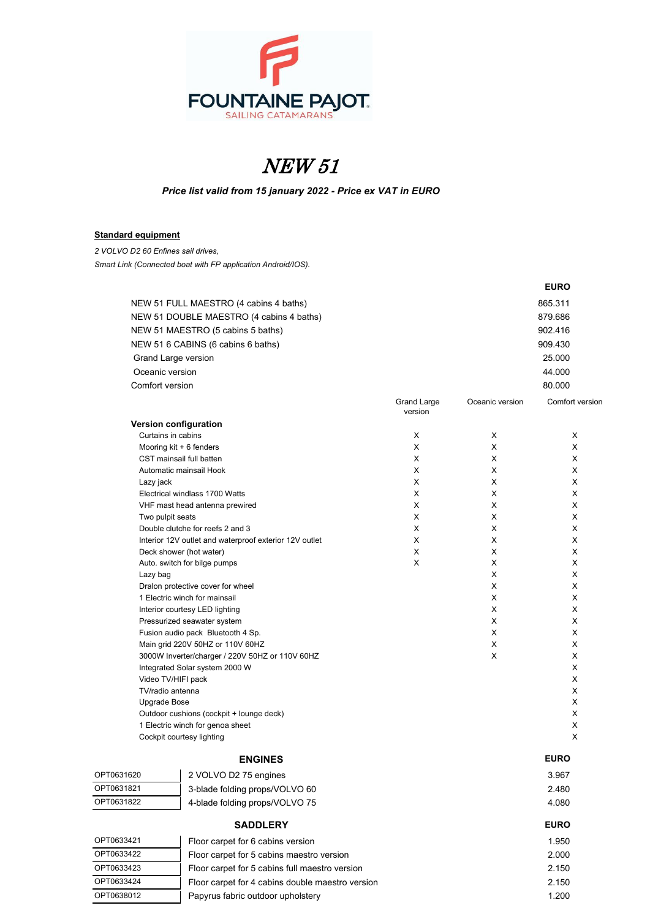

# NEW 51

*Price list valid from 15 january 2022 - Price ex VAT in EURO*

### **Standard equipment**

*2 VOLVO D2 60 Enfines sail drives, Smart Link (Connected boat with FP application Android/IOS).*

|                       |                                                        |                        |                 | <b>EURO</b>     |
|-----------------------|--------------------------------------------------------|------------------------|-----------------|-----------------|
|                       | NEW 51 FULL MAESTRO (4 cabins 4 baths)                 |                        |                 | 865.311         |
|                       | NEW 51 DOUBLE MAESTRO (4 cabins 4 baths)               |                        |                 | 879.686         |
|                       | NEW 51 MAESTRO (5 cabins 5 baths)                      |                        |                 | 902.416         |
|                       | NEW 51 6 CABINS (6 cabins 6 baths)                     |                        |                 | 909.430         |
|                       |                                                        |                        |                 |                 |
| Grand Large version   |                                                        |                        |                 | 25.000          |
| Oceanic version       |                                                        |                        |                 | 44.000          |
| Comfort version       |                                                        |                        |                 | 80.000          |
|                       |                                                        | Grand Large<br>version | Oceanic version | Comfort versior |
| Version configuration |                                                        |                        |                 |                 |
| Curtains in cabins    |                                                        | X                      | X               | X               |
|                       | Mooring kit + 6 fenders                                | X                      | X               | X               |
|                       | CST mainsail full batten                               | X                      | X               | X               |
|                       | Automatic mainsail Hook                                | X                      | X               | X               |
| Lazy jack             |                                                        | X                      | X               | X               |
|                       | Electrical windlass 1700 Watts                         | X                      | X               | X               |
|                       | VHF mast head antenna prewired                         | X                      | X               | X               |
| Two pulpit seats      |                                                        | X                      | X               | X               |
|                       | Double clutche for reefs 2 and 3                       | X                      | X               | X               |
|                       | Interior 12V outlet and waterproof exterior 12V outlet | X                      | X               | X               |
|                       | Deck shower (hot water)                                | X                      | X               | X               |
|                       | Auto. switch for bilge pumps                           | X                      | X               | X               |
| Lazy bag              |                                                        |                        | X               | X               |
|                       | Dralon protective cover for wheel                      |                        | X               | X               |
|                       | 1 Electric winch for mainsail                          |                        | X               | X               |
|                       | Interior courtesy LED lighting                         |                        | X               | X               |
|                       | Pressurized seawater system                            |                        | X               | X               |
|                       | Fusion audio pack Bluetooth 4 Sp.                      |                        | X               | X               |
|                       | Main grid 220V 50HZ or 110V 60HZ                       |                        | X               | X               |
|                       | 3000W Inverter/charger / 220V 50HZ or 110V 60HZ        |                        | X               | X               |
|                       | Integrated Solar system 2000 W                         |                        |                 | X               |
| Video TV/HIFI pack    |                                                        |                        |                 | X               |
| TV/radio antenna      |                                                        |                        |                 | X               |
| <b>Upgrade Bose</b>   |                                                        |                        |                 | X               |
|                       | Outdoor cushions (cockpit + lounge deck)               |                        |                 | X               |
|                       | 1 Electric winch for genoa sheet                       |                        |                 | X               |
|                       | Cockpit courtesy lighting                              |                        |                 | X               |
|                       | <b>ENGINES</b>                                         |                        |                 | <b>EURO</b>     |
| OPT0631620            | 2 VOLVO D2 75 engines                                  |                        |                 | 3.967           |
| OPT0631821            | 3-blade folding props/VOLVO 60                         |                        |                 | 2.480           |

| OPT0631822 | 4-blade folding props/VOLVO 75                   | 4.080       |
|------------|--------------------------------------------------|-------------|
|            | <b>SADDLERY</b>                                  | <b>EURO</b> |
| OPT0633421 | Floor carpet for 6 cabins version                | 1.950       |
| OPT0633422 | Floor carpet for 5 cabins maestro version        | 2.000       |
| OPT0633423 | Floor carpet for 5 cabins full maestro version   | 2.150       |
| OPT0633424 | Floor carpet for 4 cabins double maestro version | 2.150       |
| OPT0638012 | Papyrus fabric outdoor upholstery                | 1.200       |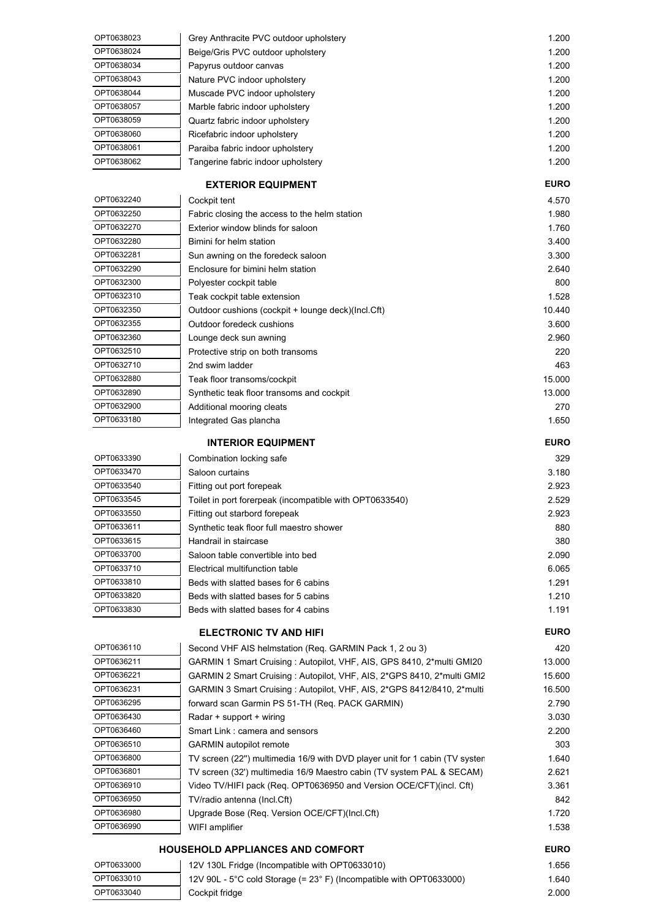| OPT0638023 | Grey Anthracite PVC outdoor upholstery | 1.200 |
|------------|----------------------------------------|-------|
| OPT0638024 | Beige/Gris PVC outdoor upholstery      | 1.200 |
| OPT0638034 | Papyrus outdoor canvas                 | 1.200 |
| OPT0638043 | Nature PVC indoor upholstery           | 1.200 |
| OPT0638044 | Muscade PVC indoor upholstery          | 1.200 |
| OPT0638057 | Marble fabric indoor upholstery        | 1.200 |
| OPT0638059 | Quartz fabric indoor upholstery        | 1.200 |
| OPT0638060 | Ricefabric indoor upholstery           | 1.200 |
| OPT0638061 | Paraiba fabric indoor upholstery       | 1.200 |
| OPT0638062 | Tangerine fabric indoor upholstery     | 1.200 |
|            |                                        |       |

## **EXTERIOR EQUIPMENT EURO**

| OPT0632240 | Cockpit tent                                       | 4.570  |
|------------|----------------------------------------------------|--------|
| OPT0632250 | Fabric closing the access to the helm station      | 1.980  |
| OPT0632270 | Exterior window blinds for saloon                  | 1.760  |
| OPT0632280 | Bimini for helm station                            | 3.400  |
| OPT0632281 | Sun awning on the foredeck saloon                  | 3.300  |
| OPT0632290 | Enclosure for bimini helm station                  | 2.640  |
| OPT0632300 | Polyester cockpit table                            | 800    |
| OPT0632310 | Teak cockpit table extension                       | 1.528  |
| OPT0632350 | Outdoor cushions (cockpit + lounge deck)(lncl.Cft) | 10.440 |
| OPT0632355 | Outdoor foredeck cushions                          | 3.600  |
| OPT0632360 | Lounge deck sun awning                             | 2.960  |
| OPT0632510 | Protective strip on both transoms                  | 220    |
| OPT0632710 | 2nd swim ladder                                    | 463    |
| OPT0632880 | Teak floor transoms/cockpit                        | 15.000 |
| OPT0632890 | Synthetic teak floor transoms and cockpit          | 13.000 |
| OPT0632900 | Additional mooring cleats                          | 270    |
| OPT0633180 | Integrated Gas plancha                             | 1.650  |

## **INTERIOR EQUIPMENT EURO**

| OPT0633390 | Combination locking safe                                | 329   |
|------------|---------------------------------------------------------|-------|
| OPT0633470 | Saloon curtains                                         | 3.180 |
| OPT0633540 | Fitting out port forepeak                               | 2.923 |
| OPT0633545 | Toilet in port forerpeak (incompatible with OPT0633540) | 2.529 |
| OPT0633550 | Fitting out starbord forepeak                           | 2.923 |
| OPT0633611 | Synthetic teak floor full maestro shower                | 880   |
| OPT0633615 | Handrail in staircase                                   | 380   |
| OPT0633700 | Saloon table convertible into bed                       | 2.090 |
| OPT0633710 | Electrical multifunction table                          | 6.065 |
| OPT0633810 | Beds with slatted bases for 6 cabins                    | 1.291 |
| OPT0633820 | Beds with slatted bases for 5 cabins                    | 1.210 |
| OPT0633830 | Beds with slatted bases for 4 cabins                    | 1.191 |

### **ELECTRONIC TV AND HIFI EURO**

| OPT0636110 | Second VHF AIS helmstation (Req. GARMIN Pack 1, 2 ou 3)                     | 420         |
|------------|-----------------------------------------------------------------------------|-------------|
| OPT0636211 | GARMIN 1 Smart Cruising: Autopilot, VHF, AIS, GPS 8410, 2*multi GMI20       | 13.000      |
| OPT0636221 | GARMIN 2 Smart Cruising: Autopilot, VHF, AIS, 2*GPS 8410, 2*multi GMI2      | 15.600      |
| OPT0636231 | GARMIN 3 Smart Cruising : Autopilot, VHF, AIS, 2*GPS 8412/8410, 2*multi     | 16.500      |
| OPT0636295 | forward scan Garmin PS 51-TH (Req. PACK GARMIN)                             | 2.790       |
| OPT0636430 | Radar + support + wiring                                                    | 3.030       |
| OPT0636460 | Smart Link: camera and sensors                                              | 2.200       |
| OPT0636510 | <b>GARMIN</b> autopilot remote                                              | 303         |
| OPT0636800 | TV screen (22") multimedia 16/9 with DVD player unit for 1 cabin (TV syster | 1.640       |
| OPT0636801 | TV screen (32') multimedia 16/9 Maestro cabin (TV system PAL & SECAM)       | 2.621       |
| OPT0636910 | Video TV/HIFI pack (Req. OPT0636950 and Version OCE/CFT)(incl. Cft)         | 3.361       |
| OPT0636950 | TV/radio antenna (Incl.Cft)                                                 | 842         |
| OPT0636980 | Upgrade Bose (Reg. Version OCE/CFT)(Incl.Cft)                               | 1.720       |
| OPT0636990 | WIFI amplifier                                                              | 1.538       |
|            | <b>HOUSEHOLD APPLIANCES AND COMFORT</b>                                     | <b>EURO</b> |
| OPT0633000 | 12V 130L Fridge (Incompatible with OPT0633010)                              | 1.656       |
| OPT0633010 | 12V 90L - 5°C cold Storage (= $23^\circ$ F) (Incompatible with OPT0633000)  | 1.640       |

OPT0633040 Cockpit fridge 2.000

| UP I UDƏƏ <i>I</i> TU |  |
|-----------------------|--|
| OPT0633810            |  |
| OPT0633820            |  |
| OPT0633830            |  |
|                       |  |
|                       |  |
| OPT0636110            |  |
| OPT0636211            |  |
| OPT0636221            |  |
| OPT0636231            |  |
| OPT0636295            |  |
| OPT0636430            |  |
|                       |  |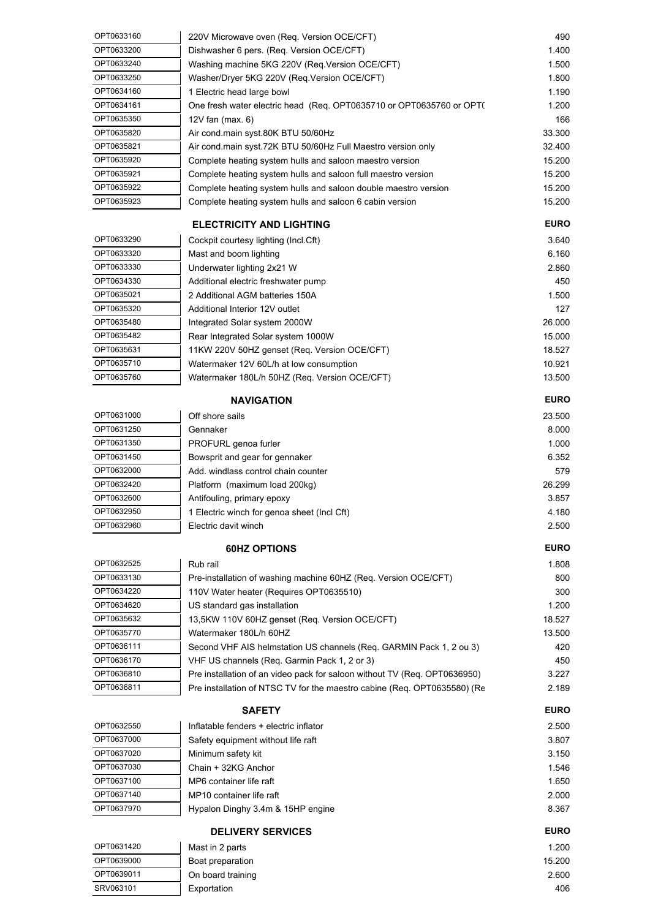| OPT0633160 | 220V Microwave oven (Req. Version OCE/CFT)                                | 490         |
|------------|---------------------------------------------------------------------------|-------------|
| OPT0633200 | Dishwasher 6 pers. (Req. Version OCE/CFT)                                 | 1.400       |
| OPT0633240 | Washing machine 5KG 220V (Req.Version OCE/CFT)                            | 1.500       |
| OPT0633250 | Washer/Dryer 5KG 220V (Req.Version OCE/CFT)                               | 1.800       |
| OPT0634160 | 1 Electric head large bowl                                                | 1.190       |
| OPT0634161 | One fresh water electric head (Req. OPT0635710 or OPT0635760 or OPT(      | 1.200       |
| OPT0635350 | 12V fan (max. 6)                                                          | 166         |
| OPT0635820 | Air cond.main syst.80K BTU 50/60Hz                                        | 33.300      |
| OPT0635821 | Air cond.main syst.72K BTU 50/60Hz Full Maestro version only              | 32.400      |
| OPT0635920 | Complete heating system hulls and saloon maestro version                  | 15.200      |
| OPT0635921 | Complete heating system hulls and saloon full maestro version             | 15.200      |
| OPT0635922 | Complete heating system hulls and saloon double maestro version           | 15.200      |
| OPT0635923 | Complete heating system hulls and saloon 6 cabin version                  | 15.200      |
|            | <b>ELECTRICITY AND LIGHTING</b>                                           | <b>EURO</b> |
| OPT0633290 | Cockpit courtesy lighting (Incl.Cft)                                      | 3.640       |
| OPT0633320 | Mast and boom lighting                                                    | 6.160       |
| OPT0633330 | Underwater lighting 2x21 W                                                | 2.860       |
| OPT0634330 | Additional electric freshwater pump                                       | 450         |
| OPT0635021 | 2 Additional AGM batteries 150A                                           | 1.500       |
| OPT0635320 | Additional Interior 12V outlet                                            | 127         |
| OPT0635480 | Integrated Solar system 2000W                                             | 26.000      |
| OPT0635482 | Rear Integrated Solar system 1000W                                        | 15.000      |
| OPT0635631 | 11KW 220V 50HZ genset (Req. Version OCE/CFT)                              | 18.527      |
| OPT0635710 | Watermaker 12V 60L/h at low consumption                                   | 10.921      |
| OPT0635760 | Watermaker 180L/h 50HZ (Req. Version OCE/CFT)                             | 13.500      |
|            | <b>NAVIGATION</b>                                                         | <b>EURO</b> |
| OPT0631000 | Off shore sails                                                           | 23.500      |
| OPT0631250 | Gennaker                                                                  | 8.000       |
| OPT0631350 | PROFURL genoa furler                                                      | 1.000       |
| OPT0631450 | Bowsprit and gear for gennaker                                            | 6.352       |
| OPT0632000 | Add. windlass control chain counter                                       | 579         |
| OPT0632420 | Platform (maximum load 200kg)                                             | 26.299      |
| OPT0632600 | Antifouling, primary epoxy                                                | 3.857       |
| OPT0632950 | 1 Electric winch for genoa sheet (Incl Cft)                               | 4.180       |
| OPT0632960 | Electric davit winch                                                      | 2.500       |
|            | <b>60HZ OPTIONS</b>                                                       | <b>EURO</b> |
| OPT0632525 | Rub rail                                                                  | 1.808       |
| OPT0633130 | Pre-installation of washing machine 60HZ (Req. Version OCE/CFT)           | 800         |
| OPT0634220 | 110V Water heater (Requires OPT0635510)                                   | 300         |
| OPT0634620 | US standard gas installation                                              | 1.200       |
| OPT0635632 | 13,5KW 110V 60HZ genset (Req. Version OCE/CFT)                            | 18.527      |
| OPT0635770 | Watermaker 180L/h 60HZ                                                    | 13.500      |
| OPT0636111 | Second VHF AIS helmstation US channels (Req. GARMIN Pack 1, 2 ou 3)       | 420         |
| OPT0636170 | VHF US channels (Req. Garmin Pack 1, 2 or 3)                              | 450         |
| OPT0636810 | Pre installation of an video pack for saloon without TV (Req. OPT0636950) | 3.227       |
| OPT0636811 | Pre installation of NTSC TV for the maestro cabine (Req. OPT0635580) (Re  | 2.189       |
|            | <b>SAFETY</b>                                                             | <b>EURO</b> |
| OPT0632550 | Inflatable fenders + electric inflator                                    | 2.500       |
| OPT0637000 | Safety equipment without life raft                                        | 3.807       |
| OPT0637020 | Minimum safety kit                                                        | 3.150       |
| OPT0637030 | Chain + 32KG Anchor                                                       | 1.546       |
| OPT0637100 | MP6 container life raft                                                   | 1.650       |
| OPT0637140 | MP10 container life raft                                                  | 2.000       |
| OPT0637970 | Hypalon Dinghy 3.4m & 15HP engine                                         | 8.367       |
|            | <b>DELIVERY SERVICES</b>                                                  | <b>EURO</b> |
| OPT0631420 | Mast in 2 parts                                                           | 1.200       |
| OPT0639000 | Boat preparation                                                          | 15.200      |

SRV063101 Exportation 406

OPT0639011 On board training 2.600